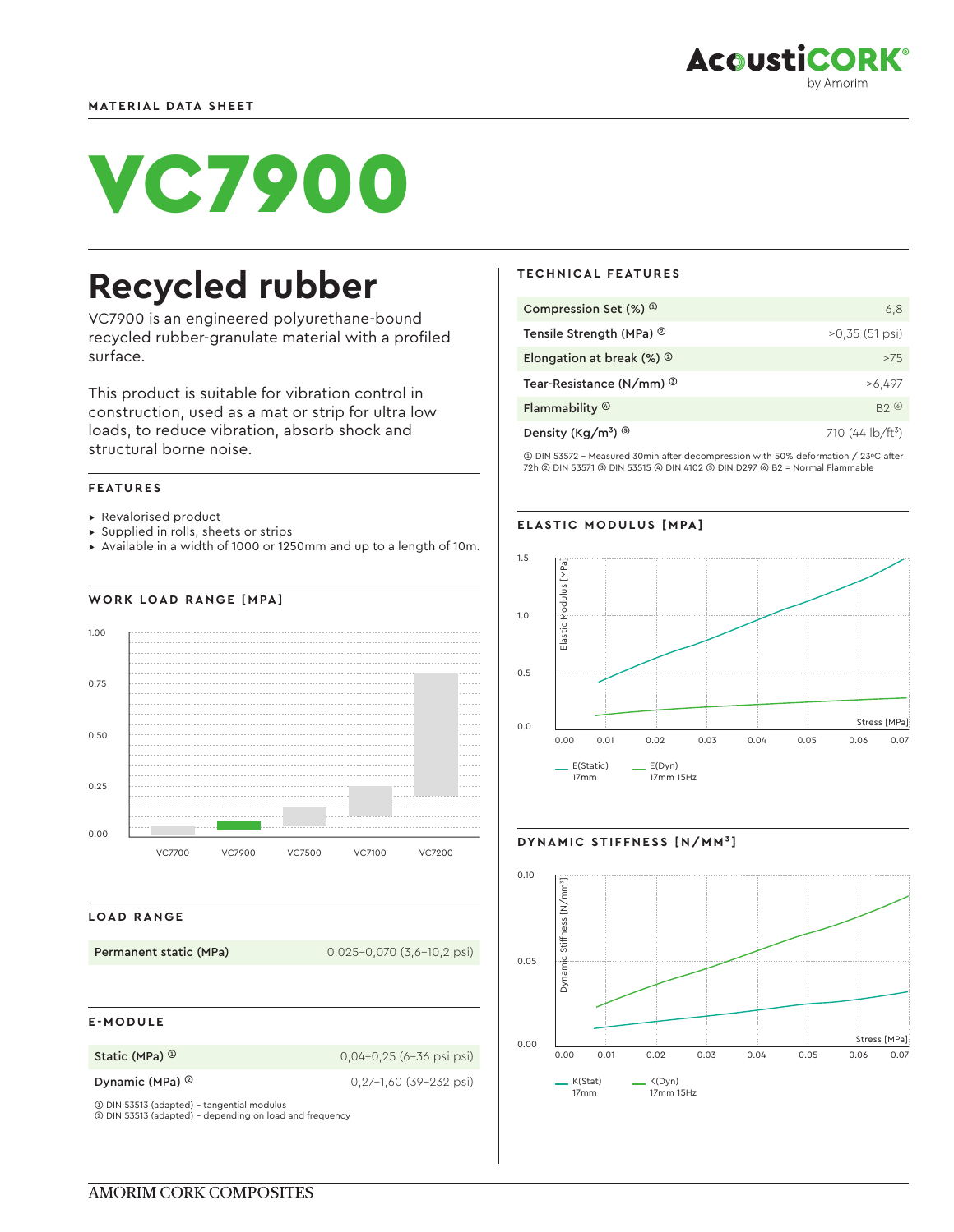# VC7900

## **Recycled rubber**

VC7900 is an engineered polyurethane-bound recycled rubber-granulate material with a profiled surface.

This product is suitable for vibration control in construction, used as a mat or strip for ultra low loads, to reduce vibration, absorb shock and structural borne noise.

#### **FEATURES**

- ▸ Revalorised product
- ▸ Supplied in rolls, sheets or strips
- ▸ Available in a width of 1000 or 1250mm and up to a length of 10m.

### **WORK LOAD RANGE [MPA]**



#### **LOAD RANGE**

**Permanent static (MPa)** 0,025-0,070 (3,6-10,2 psi)

#### **E-MODULE**

**Static (MPa) <sup>①</sup> 0,04-0,25 (6-36 psi psi)** 

**Dynamic (MPa) ©** 0,27-1,60 (39-232 psi)

➀ DIN 53513 (adapted) - tangential modulus ➁ DIN 53513 (adapted) - depending on load and frequency

#### **TECHNICAL FEATURES**

| Compression Set $(\%)$ $\circ$              | 6,8                     |
|---------------------------------------------|-------------------------|
| Tensile Strength (MPa) <sup>2</sup>         | $>0.35$ (51 psi)        |
| Elongation at break $(\%)$ $^{\circ}$       | >7.5                    |
| Tear-Resistance (N/mm) <sup>3</sup>         | >6,497                  |
| Flammability $\circledcirc$                 | B20                     |
| Density (Kg/m <sup>3</sup> ) $\circledcirc$ | 710 (44 $\frac{1}{2}$ ) |

➀ DIN 53572 - Measured 30min after decompression with 50% deformation / 23ºC after 72h ➁ DIN 53571 ➂ DIN 53515 ➃ DIN 4102 ➄ DIN D297 ➅ B2 = Normal Flammable

#### **ELASTIC MODULUS [MPA]**





#### **DYNAMIC STIFFNESS [N/MM³]**